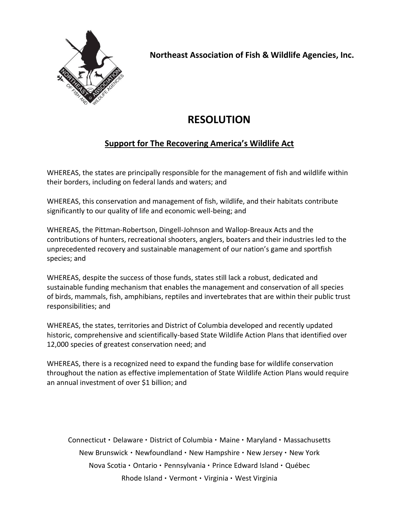

**Northeast Association of Fish & Wildlife Agencies, Inc.**

## **RESOLUTION**

## **Support for The Recovering America's Wildlife Act**

WHEREAS, the states are principally responsible for the management of fish and wildlife within their borders, including on federal lands and waters; and

WHEREAS, this conservation and management of fish, wildlife, and their habitats contribute significantly to our quality of life and economic well-being; and

WHEREAS, the Pittman-Robertson, Dingell-Johnson and Wallop-Breaux Acts and the contributions of hunters, recreational shooters, anglers, boaters and their industries led to the unprecedented recovery and sustainable management of our nation's game and sportfish species; and

WHEREAS, despite the success of those funds, states still lack a robust, dedicated and sustainable funding mechanism that enables the management and conservation of all species of birds, mammals, fish, amphibians, reptiles and invertebrates that are within their public trust responsibilities; and

WHEREAS, the states, territories and District of Columbia developed and recently updated historic, comprehensive and scientifically-based State Wildlife Action Plans that identified over 12,000 species of greatest conservation need; and

WHEREAS, there is a recognized need to expand the funding base for wildlife conservation throughout the nation as effective implementation of State Wildlife Action Plans would require an annual investment of over \$1 billion; and

Connecticut • Delaware • District of Columbia • Maine • Maryland • Massachusetts New Brunswick • Newfoundland • New Hampshire • New Jersey • New York Nova Scotia • Ontario • Pennsylvania • Prince Edward Island • Québec Rhode Island · Vermont · Virginia · West Virginia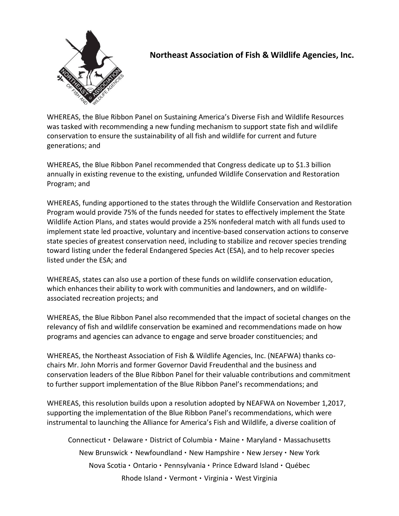

## **Northeast Association of Fish & Wildlife Agencies, Inc.**

WHEREAS, the Blue Ribbon Panel on Sustaining America's Diverse Fish and Wildlife Resources was tasked with recommending a new funding mechanism to support state fish and wildlife conservation to ensure the sustainability of all fish and wildlife for current and future generations; and

WHEREAS, the Blue Ribbon Panel recommended that Congress dedicate up to \$1.3 billion annually in existing revenue to the existing, unfunded Wildlife Conservation and Restoration Program; and

WHEREAS, funding apportioned to the states through the Wildlife Conservation and Restoration Program would provide 75% of the funds needed for states to effectively implement the State Wildlife Action Plans, and states would provide a 25% nonfederal match with all funds used to implement state led proactive, voluntary and incentive-based conservation actions to conserve state species of greatest conservation need, including to stabilize and recover species trending toward listing under the federal Endangered Species Act (ESA), and to help recover species listed under the ESA; and

WHEREAS, states can also use a portion of these funds on wildlife conservation education, which enhances their ability to work with communities and landowners, and on wildlifeassociated recreation projects; and

WHEREAS, the Blue Ribbon Panel also recommended that the impact of societal changes on the relevancy of fish and wildlife conservation be examined and recommendations made on how programs and agencies can advance to engage and serve broader constituencies; and

WHEREAS, the Northeast Association of Fish & Wildlife Agencies, Inc. (NEAFWA) thanks cochairs Mr. John Morris and former Governor David Freudenthal and the business and conservation leaders of the Blue Ribbon Panel for their valuable contributions and commitment to further support implementation of the Blue Ribbon Panel's recommendations; and

WHEREAS, this resolution builds upon a resolution adopted by NEAFWA on November 1,2017, supporting the implementation of the Blue Ribbon Panel's recommendations, which were instrumental to launching the Alliance for America's Fish and Wildlife, a diverse coalition of

Connecticut • Delaware • District of Columbia • Maine • Maryland • Massachusetts New Brunswick • Newfoundland • New Hampshire • New Jersey • New York Nova Scotia • Ontario • Pennsylvania • Prince Edward Island • Québec Rhode Island · Vermont · Virginia · West Virginia